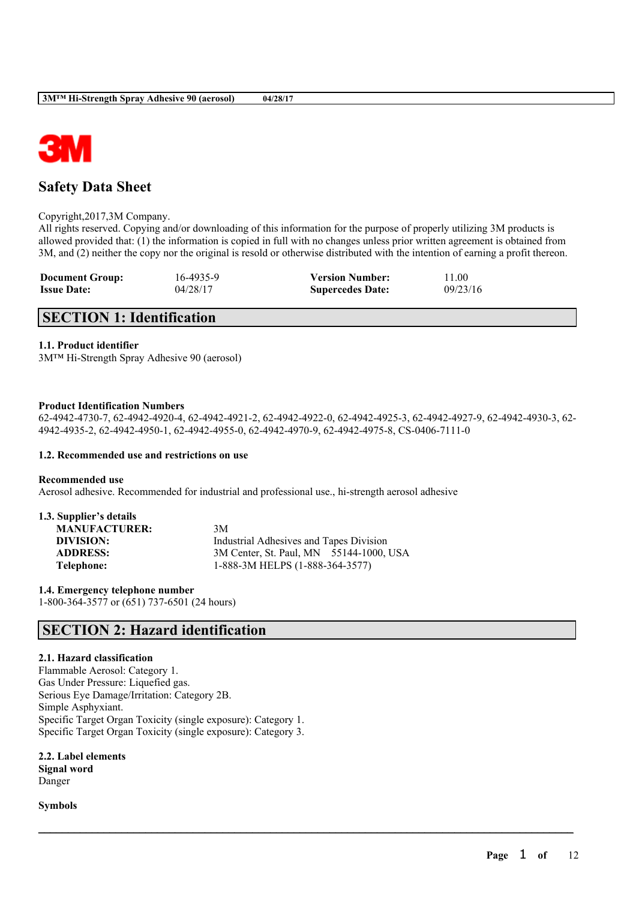

# **Safety Data Sheet**

Copyright,2017,3M Company.

All rights reserved. Copying and/or downloading of this information for the purpose of properly utilizing 3M products is allowed provided that: (1) the information is copied in full with no changes unless prior written agreement is obtained from 3M, and (2) neither the copy nor the original is resold or otherwise distributed with the intention of earning a profit thereon.

| <b>Document Group:</b> | 16-4935-9 | <b>Version Number:</b>  | 11.00    |
|------------------------|-----------|-------------------------|----------|
| <b>Issue Date:</b>     | 04/28/17  | <b>Supercedes Date:</b> | 09/23/16 |

# **SECTION 1: Identification**

## **1.1. Product identifier**

3M™ Hi-Strength Spray Adhesive 90 (aerosol)

## **Product Identification Numbers**

62-4942-4730-7, 62-4942-4920-4, 62-4942-4921-2, 62-4942-4922-0, 62-4942-4925-3, 62-4942-4927-9, 62-4942-4930-3, 62- 4942-4935-2, 62-4942-4950-1, 62-4942-4955-0, 62-4942-4970-9, 62-4942-4975-8, CS-0406-7111-0

 $\mathcal{L}_\mathcal{L} = \mathcal{L}_\mathcal{L} = \mathcal{L}_\mathcal{L} = \mathcal{L}_\mathcal{L} = \mathcal{L}_\mathcal{L} = \mathcal{L}_\mathcal{L} = \mathcal{L}_\mathcal{L} = \mathcal{L}_\mathcal{L} = \mathcal{L}_\mathcal{L} = \mathcal{L}_\mathcal{L} = \mathcal{L}_\mathcal{L} = \mathcal{L}_\mathcal{L} = \mathcal{L}_\mathcal{L} = \mathcal{L}_\mathcal{L} = \mathcal{L}_\mathcal{L} = \mathcal{L}_\mathcal{L} = \mathcal{L}_\mathcal{L}$ 

## **1.2. Recommended use and restrictions on use**

### **Recommended use**

Aerosol adhesive. Recommended for industrial and professional use., hi-strength aerosol adhesive

| 1.3. Supplier's details |                                         |
|-------------------------|-----------------------------------------|
| <b>MANUFACTURER:</b>    | 3M                                      |
| DIVISION:               | Industrial Adhesives and Tapes Division |
| <b>ADDRESS:</b>         | 3M Center, St. Paul, MN 55144-1000, USA |
| Telephone:              | 1-888-3M HELPS (1-888-364-3577)         |

**1.4. Emergency telephone number** 1-800-364-3577 or (651) 737-6501 (24 hours)

# **SECTION 2: Hazard identification**

## **2.1. Hazard classification**

Flammable Aerosol: Category 1. Gas Under Pressure: Liquefied gas. Serious Eye Damage/Irritation: Category 2B. Simple Asphyxiant. Specific Target Organ Toxicity (single exposure): Category 1. Specific Target Organ Toxicity (single exposure): Category 3.

**2.2. Label elements Signal word**

Danger

**Symbols**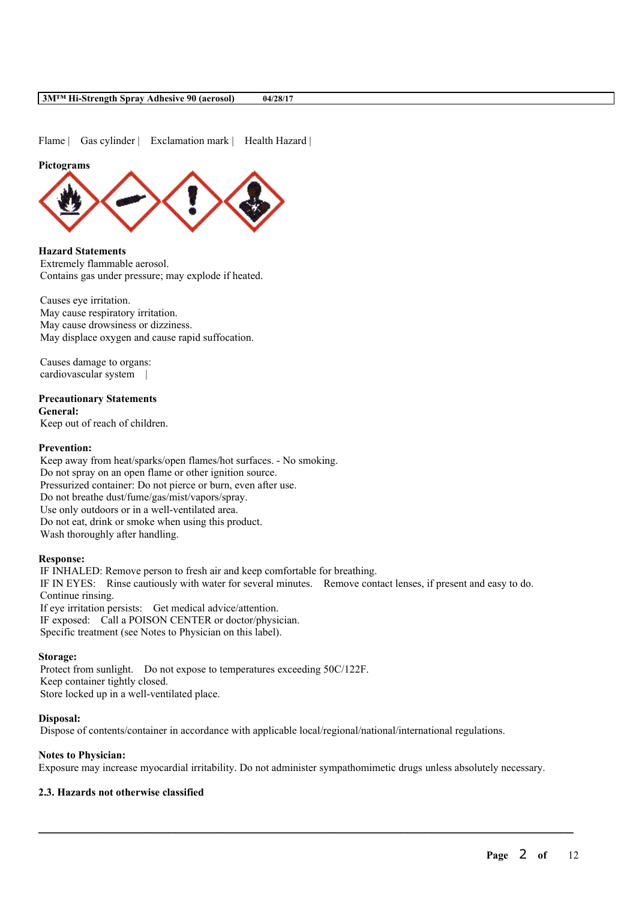Flame | Gas cylinder | Exclamation mark | Health Hazard |

## **Pictograms**



**Hazard Statements** Extremely flammable aerosol. Contains gas under pressure; may explode if heated.

Causes eye irritation. May cause respiratory irritation. May cause drowsiness or dizziness. May displace oxygen and cause rapid suffocation.

Causes damage to organs: cardiovascular system |

# **Precautionary Statements**

**General:**

Keep out of reach of children.

## **Prevention:**

Keep away from heat/sparks/open flames/hot surfaces. - No smoking. Do not spray on an open flame or other ignition source. Pressurized container: Do not pierce or burn, even after use. Do not breathe dust/fume/gas/mist/vapors/spray. Use only outdoors or in a well-ventilated area. Do not eat, drink or smoke when using this product. Wash thoroughly after handling.

## **Response:**

IF INHALED: Remove person to fresh air and keep comfortable for breathing. IF IN EYES: Rinse cautiously with water for several minutes. Remove contact lenses, if present and easy to do. Continue rinsing. If eye irritation persists: Get medical advice/attention. IF exposed: Call a POISON CENTER or doctor/physician. Specific treatment (see Notes to Physician on this label).

### **Storage:**

Protect from sunlight. Do not expose to temperatures exceeding 50C/122F. Keep container tightly closed. Store locked up in a well-ventilated place.

## **Disposal:**

Dispose of contents/container in accordance with applicable local/regional/national/international regulations.

## **Notes to Physician:**

Exposure may increase myocardial irritability. Do not administer sympathomimetic drugs unless absolutely necessary.

 $\mathcal{L}_\mathcal{L} = \mathcal{L}_\mathcal{L} = \mathcal{L}_\mathcal{L} = \mathcal{L}_\mathcal{L} = \mathcal{L}_\mathcal{L} = \mathcal{L}_\mathcal{L} = \mathcal{L}_\mathcal{L} = \mathcal{L}_\mathcal{L} = \mathcal{L}_\mathcal{L} = \mathcal{L}_\mathcal{L} = \mathcal{L}_\mathcal{L} = \mathcal{L}_\mathcal{L} = \mathcal{L}_\mathcal{L} = \mathcal{L}_\mathcal{L} = \mathcal{L}_\mathcal{L} = \mathcal{L}_\mathcal{L} = \mathcal{L}_\mathcal{L}$ 

## **2.3. Hazards not otherwise classified**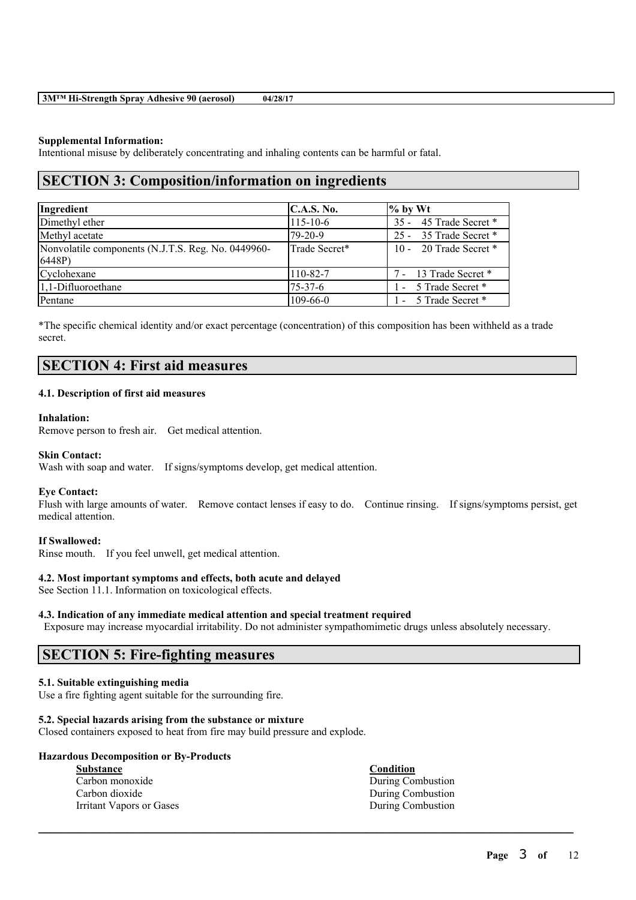## **Supplemental Information:**

Intentional misuse by deliberately concentrating and inhaling contents can be harmful or fatal.

# **SECTION 3: Composition/information on ingredients**

| Ingredient                                                   | C.A.S. No.     | $%$ by Wt                |
|--------------------------------------------------------------|----------------|--------------------------|
| Dimethyl ether                                               | $115 - 10 - 6$ | 35 - 45 Trade Secret *   |
| Methyl acetate                                               | 79-20-9        | 25 - 35 Trade Secret *   |
| Nonvolatile components (N.J.T.S. Reg. No. 0449960-<br>6448P) | Trade Secret*  | 10 - 20 Trade Secret $*$ |
| Cyclohexane                                                  | 110-82-7       | 7 - 13 Trade Secret *    |
| $1,1$ -Difluoroethane                                        | $75 - 37 - 6$  | - 5 Trade Secret *       |
| Pentane                                                      | $109 - 66 - 0$ | 1 - 5 Trade Secret *     |

\*The specific chemical identity and/or exact percentage (concentration) of this composition has been withheld as a trade secret.

# **SECTION 4: First aid measures**

# **4.1. Description of first aid measures**

## **Inhalation:**

Remove person to fresh air. Get medical attention.

### **Skin Contact:**

Wash with soap and water. If signs/symptoms develop, get medical attention.

### **Eye Contact:**

Flush with large amounts of water. Remove contact lenses if easy to do. Continue rinsing. If signs/symptoms persist, get medical attention.

## **If Swallowed:**

Rinse mouth. If you feel unwell, get medical attention.

### **4.2. Most important symptoms and effects, both acute and delayed**

See Section 11.1. Information on toxicological effects.

### **4.3. Indication of any immediate medical attention and special treatment required**

Exposure may increase myocardial irritability. Do not administer sympathomimetic drugs unless absolutely necessary.

 $\mathcal{L}_\mathcal{L} = \mathcal{L}_\mathcal{L} = \mathcal{L}_\mathcal{L} = \mathcal{L}_\mathcal{L} = \mathcal{L}_\mathcal{L} = \mathcal{L}_\mathcal{L} = \mathcal{L}_\mathcal{L} = \mathcal{L}_\mathcal{L} = \mathcal{L}_\mathcal{L} = \mathcal{L}_\mathcal{L} = \mathcal{L}_\mathcal{L} = \mathcal{L}_\mathcal{L} = \mathcal{L}_\mathcal{L} = \mathcal{L}_\mathcal{L} = \mathcal{L}_\mathcal{L} = \mathcal{L}_\mathcal{L} = \mathcal{L}_\mathcal{L}$ 

# **SECTION 5: Fire-fighting measures**

# **5.1. Suitable extinguishing media**

Use a fire fighting agent suitable for the surrounding fire.

## **5.2. Special hazards arising from the substance or mixture**

Closed containers exposed to heat from fire may build pressure and explode.

| <b>Hazardous Decomposition or By-Products</b> |                   |  |  |
|-----------------------------------------------|-------------------|--|--|
| <b>Substance</b>                              | <b>Condition</b>  |  |  |
| Carbon monoxide                               | During Combustion |  |  |
| Carbon dioxide                                | During Combustion |  |  |
| Irritant Vapors or Gases                      | During Combustion |  |  |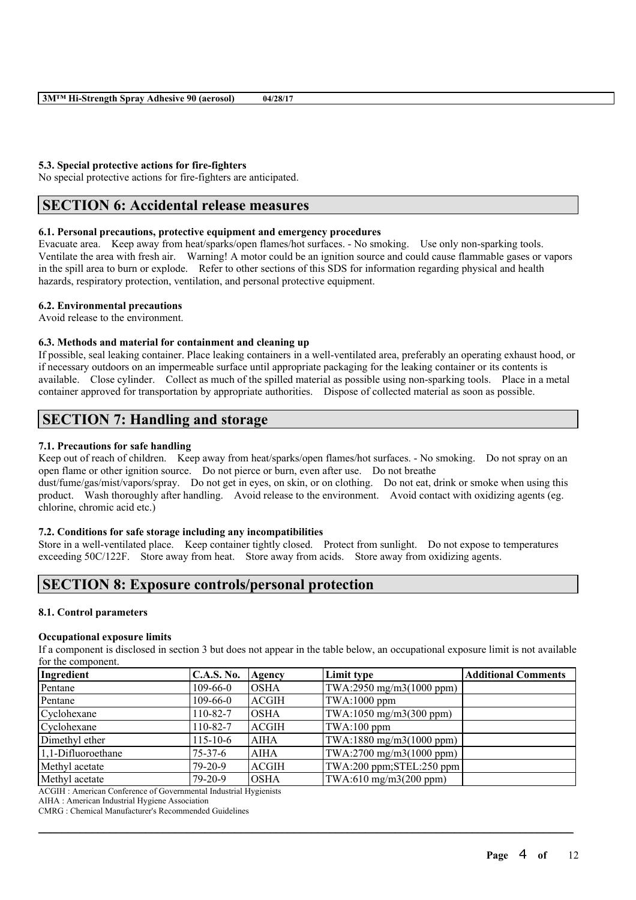## **5.3. Special protective actions for fire-fighters**

No special protective actions for fire-fighters are anticipated.

# **SECTION 6: Accidental release measures**

# **6.1. Personal precautions, protective equipment and emergency procedures**

Evacuate area. Keep away from heat/sparks/open flames/hot surfaces. - No smoking. Use only non-sparking tools. Ventilate the area with fresh air. Warning! A motor could be an ignition source and could cause flammable gases or vapors in the spill area to burn or explode. Refer to other sections of this SDS for information regarding physical and health hazards, respiratory protection, ventilation, and personal protective equipment.

## **6.2. Environmental precautions**

Avoid release to the environment.

### **6.3. Methods and material for containment and cleaning up**

If possible, seal leaking container. Place leaking containers in a well-ventilated area, preferably an operating exhaust hood, or if necessary outdoors on an impermeable surface until appropriate packaging for the leaking container or its contents is available. Close cylinder. Collect as much of the spilled material as possible using non-sparking tools. Place in a metal container approved for transportation by appropriate authorities. Dispose of collected material as soon as possible.

# **SECTION 7: Handling and storage**

# **7.1. Precautions for safe handling**

Keep out of reach of children. Keep away from heat/sparks/open flames/hot surfaces. - No smoking. Do not spray on an open flame or other ignition source. Do not pierce or burn, even after use. Do not breathe

dust/fume/gas/mist/vapors/spray. Do not get in eyes, on skin, or on clothing. Do not eat, drink or smoke when using this product. Wash thoroughly after handling. Avoid release to the environment. Avoid contact with oxidizing agents (eg. chlorine, chromic acid etc.)

# **7.2. Conditions for safe storage including any incompatibilities**

Store in a well-ventilated place. Keep container tightly closed. Protect from sunlight. Do not expose to temperatures exceeding 50C/122F. Store away from heat. Store away from acids. Store away from oxidizing agents.

# **SECTION 8: Exposure controls/personal protection**

## **8.1. Control parameters**

#### **Occupational exposure limits**

If a component is disclosed in section 3 but does not appear in the table below, an occupational exposure limit is not available for the component.

| Ingredient            | <b>C.A.S. No.</b> | Agency       | Limit type               | <b>Additional Comments</b> |
|-----------------------|-------------------|--------------|--------------------------|----------------------------|
| Pentane               | $109 - 66 - 0$    | <b>OSHA</b>  | TWA:2950 mg/m3(1000 ppm) |                            |
| Pentane               | $109 - 66 - 0$    | <b>ACGIH</b> | TWA:1000 ppm             |                            |
| Cyclohexane           | 110-82-7          | IOSHA        | TWA:1050 mg/m3(300 ppm)  |                            |
| Cyclohexane           | 110-82-7          | <b>ACGIH</b> | $TWA:100$ ppm            |                            |
| Dimethyl ether        | $115 - 10 - 6$    | <b>AIHA</b>  | TWA:1880 mg/m3(1000 ppm) |                            |
| $1,1$ -Difluoroethane | 75-37-6           | <b>AIHA</b>  | TWA:2700 mg/m3(1000 ppm) |                            |
| Methyl acetate        | $79-20-9$         | <b>ACGIH</b> | TWA:200 ppm;STEL:250 ppm |                            |
| Methyl acetate        | $79-20-9$         | OSHA         | TWA:610 mg/m3(200 ppm)   |                            |

 $\mathcal{L}_\mathcal{L} = \mathcal{L}_\mathcal{L} = \mathcal{L}_\mathcal{L} = \mathcal{L}_\mathcal{L} = \mathcal{L}_\mathcal{L} = \mathcal{L}_\mathcal{L} = \mathcal{L}_\mathcal{L} = \mathcal{L}_\mathcal{L} = \mathcal{L}_\mathcal{L} = \mathcal{L}_\mathcal{L} = \mathcal{L}_\mathcal{L} = \mathcal{L}_\mathcal{L} = \mathcal{L}_\mathcal{L} = \mathcal{L}_\mathcal{L} = \mathcal{L}_\mathcal{L} = \mathcal{L}_\mathcal{L} = \mathcal{L}_\mathcal{L}$ 

ACGIH : American Conference of Governmental Industrial Hygienists

AIHA : American Industrial Hygiene Association

CMRG : Chemical Manufacturer's Recommended Guidelines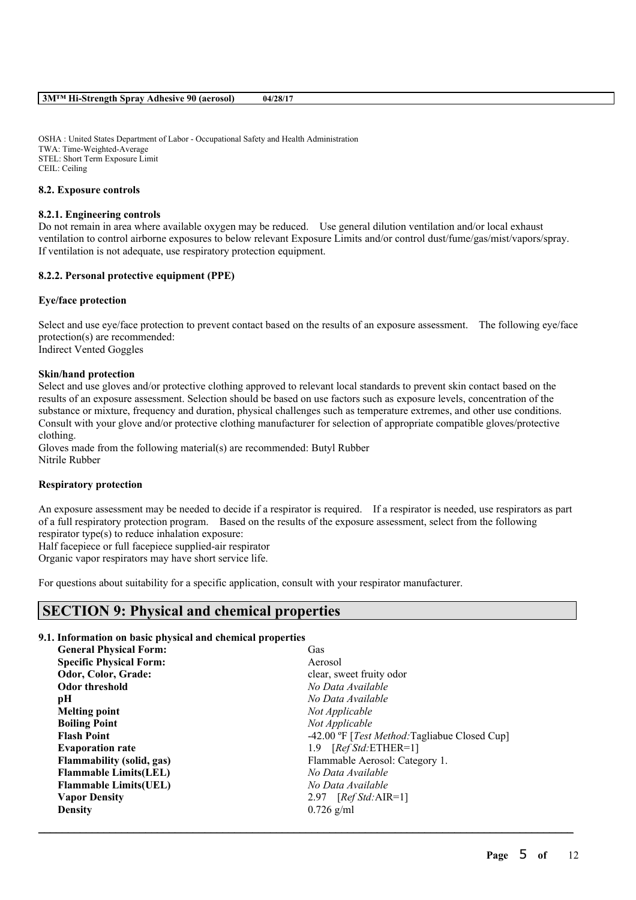OSHA : United States Department of Labor - Occupational Safety and Health Administration TWA: Time-Weighted-Average STEL: Short Term Exposure Limit CEIL: Ceiling

## **8.2. Exposure controls**

## **8.2.1. Engineering controls**

Do not remain in area where available oxygen may be reduced. Use general dilution ventilation and/or local exhaust ventilation to control airborne exposures to below relevant Exposure Limits and/or control dust/fume/gas/mist/vapors/spray. If ventilation is not adequate, use respiratory protection equipment.

## **8.2.2. Personal protective equipment (PPE)**

## **Eye/face protection**

Select and use eye/face protection to prevent contact based on the results of an exposure assessment. The following eye/face protection(s) are recommended: Indirect Vented Goggles

#### **Skin/hand protection**

Select and use gloves and/or protective clothing approved to relevant local standards to prevent skin contact based on the results of an exposure assessment. Selection should be based on use factors such as exposure levels, concentration of the substance or mixture, frequency and duration, physical challenges such as temperature extremes, and other use conditions. Consult with your glove and/or protective clothing manufacturer for selection of appropriate compatible gloves/protective clothing.

Gloves made from the following material(s) are recommended: Butyl Rubber Nitrile Rubber

## **Respiratory protection**

An exposure assessment may be needed to decide if a respirator is required. If a respirator is needed, use respirators as part of a full respiratory protection program. Based on the results of the exposure assessment, select from the following respirator type(s) to reduce inhalation exposure:

Half facepiece or full facepiece supplied-air respirator

Organic vapor respirators may have short service life.

For questions about suitability for a specific application, consult with your respirator manufacturer.

# **SECTION 9: Physical and chemical properties**

### **9.1. Information on basic physical and chemical properties**

| Gas                                                   |
|-------------------------------------------------------|
| Aerosol                                               |
| clear, sweet fruity odor                              |
| No Data Available                                     |
| No Data Available                                     |
| Not Applicable                                        |
| Not Applicable                                        |
| -42.00 °F [ <i>Test Method:</i> Tagliabue Closed Cup] |
| $[RefStd:ETHER=1]$<br>1.9                             |
| Flammable Aerosol: Category 1.                        |
| No Data Available                                     |
| No Data Available                                     |
| $[RefStd:AIR=1]$<br>2.97                              |
| $0.726$ g/ml                                          |
|                                                       |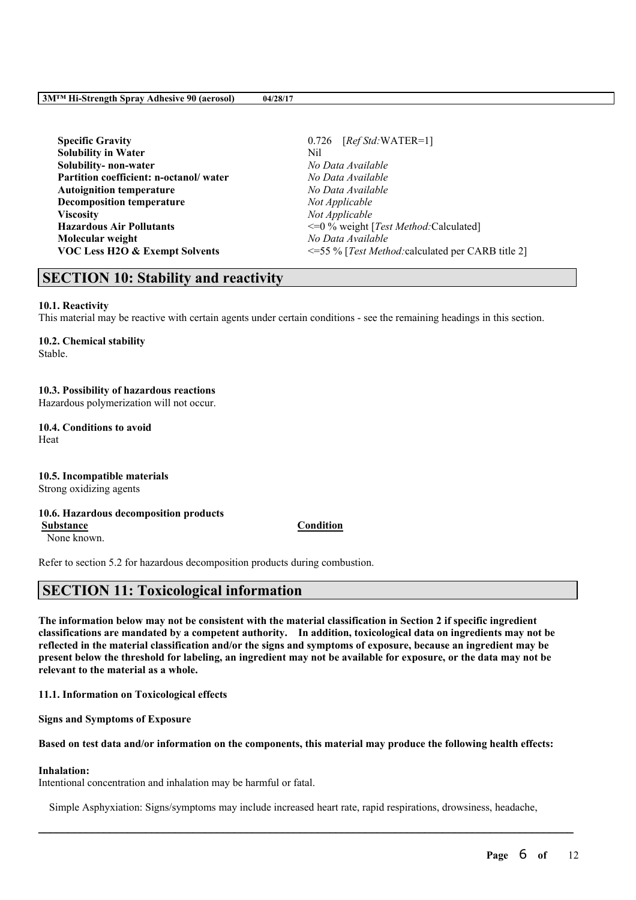**Page** 6 **of** 12

**Specific Gravity** 0.726 [*Ref Std:*WATER=1] **Solubility in Water** Nil **Solubility- non-water** *No Data Available* **Partition coefficient: n-octanol/ water** *No Data Available* **Autoignition temperature** *No Data Available* **Decomposition temperature** *Not Applicable* **Viscosity** *Not Applicable* **Molecular weight** *No Data Available*

**Hazardous Air Pollutants**  $\leq 0$  % weight [*Test Method:Calculated*] **VOC Less H2O & Exempt Solvents** <=55 % [*Test Method:*calculated per CARB title 2]

# **SECTION 10: Stability and reactivity**

# **10.1. Reactivity**

This material may be reactive with certain agents under certain conditions - see the remaining headings in this section.

# **10.2. Chemical stability**

Stable.

# **10.3. Possibility of hazardous reactions**

Hazardous polymerization will not occur.

#### **10.4. Conditions to avoid** Heat

# **10.5. Incompatible materials**

Strong oxidizing agents

# **10.6. Hazardous decomposition products**

None known.

Refer to section 5.2 for hazardous decomposition products during combustion.

# **SECTION 11: Toxicological information**

The information below may not be consistent with the material classification in Section 2 if specific ingredient **classifications are mandated by a competent authority. In addition, toxicological data on ingredients may not be** reflected in the material classification and/or the signs and symptoms of exposure, because an ingredient may be present below the threshold for labeling, an ingredient may not be available for exposure, or the data may not be **relevant to the material as a whole.**

**11.1. Information on Toxicological effects**

**Signs and Symptoms of Exposure**

## Based on test data and/or information on the components, this material may produce the following health effects:

# **Inhalation:**

Intentional concentration and inhalation may be harmful or fatal.

Simple Asphyxiation: Signs/symptoms may include increased heart rate, rapid respirations, drowsiness, headache,

# **Substance Condition**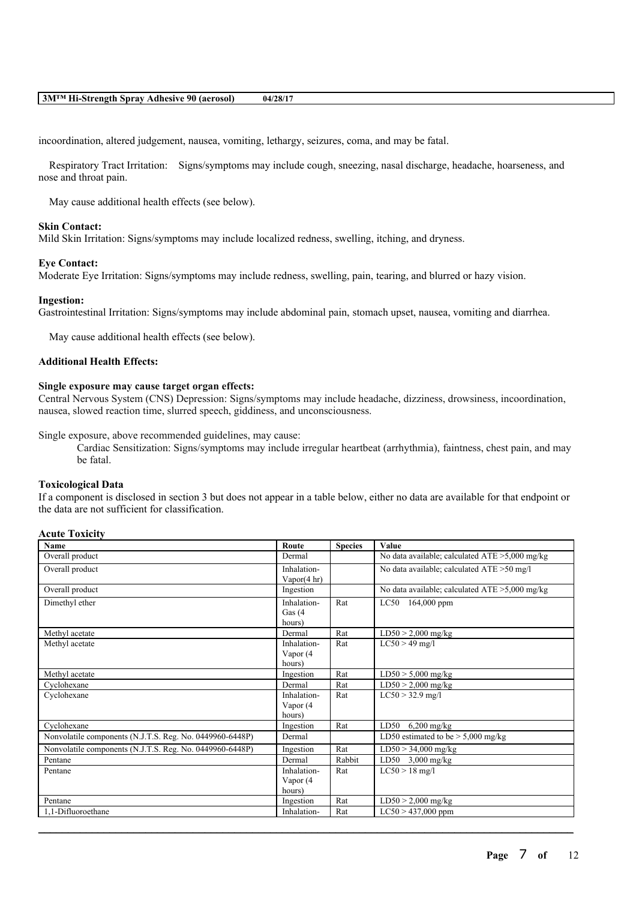incoordination, altered judgement, nausea, vomiting, lethargy, seizures, coma, and may be fatal.

Respiratory Tract Irritation: Signs/symptoms may include cough, sneezing, nasal discharge, headache, hoarseness, and nose and throat pain.

May cause additional health effects (see below).

#### **Skin Contact:**

Mild Skin Irritation: Signs/symptoms may include localized redness, swelling, itching, and dryness.

#### **Eye Contact:**

Moderate Eye Irritation: Signs/symptoms may include redness, swelling, pain, tearing, and blurred or hazy vision.

## **Ingestion:**

Gastrointestinal Irritation: Signs/symptoms may include abdominal pain, stomach upset, nausea, vomiting and diarrhea.

May cause additional health effects (see below).

## **Additional Health Effects:**

#### **Single exposure may cause target organ effects:**

Central Nervous System (CNS) Depression: Signs/symptoms may include headache, dizziness, drowsiness, incoordination, nausea, slowed reaction time, slurred speech, giddiness, and unconsciousness.

Single exposure, above recommended guidelines, may cause:

Cardiac Sensitization: Signs/symptoms may include irregular heartbeat (arrhythmia), faintness, chest pain, and may be fatal.

## **Toxicological Data**

If a component is disclosed in section 3 but does not appear in a table below, either no data are available for that endpoint or the data are not sufficient for classification.

|  | <b>Acute Toxicity</b> |
|--|-----------------------|
|--|-----------------------|

| Name                                                     | Route                  | <b>Species</b> | Value                                             |
|----------------------------------------------------------|------------------------|----------------|---------------------------------------------------|
| Overall product                                          | Dermal                 |                | No data available; calculated $ATE > 5,000$ mg/kg |
| Overall product                                          | Inhalation-            |                | No data available; calculated ATE >50 mg/l        |
|                                                          | Vapor $(4 \text{ hr})$ |                |                                                   |
| Overall product                                          | Ingestion              |                | No data available; calculated $ATE > 5,000$ mg/kg |
| Dimethyl ether                                           | Inhalation-            | Rat            | LC50<br>$164,000$ ppm                             |
|                                                          | Gas $(4)$              |                |                                                   |
|                                                          | hours)                 |                |                                                   |
| Methyl acetate                                           | Dermal                 | Rat            | $LD50 > 2,000$ mg/kg                              |
| Methyl acetate                                           | Inhalation-            | Rat            | $LC50 > 49$ mg/l                                  |
|                                                          | Vapor (4               |                |                                                   |
|                                                          | hours)                 |                |                                                   |
| Methyl acetate                                           | Ingestion              | Rat            | $LD50 > 5,000$ mg/kg                              |
| Cyclohexane                                              | Dermal                 | Rat            | $LD50 > 2,000$ mg/kg                              |
| Cyclohexane                                              | Inhalation-            | Rat            | $LC50 > 32.9$ mg/l                                |
|                                                          | Vapor (4               |                |                                                   |
|                                                          | hours)                 |                |                                                   |
| Cyclohexane                                              | Ingestion              | Rat            | $LD50$ 6,200 mg/kg                                |
| Nonvolatile components (N.J.T.S. Reg. No. 0449960-6448P) | Dermal                 |                | LD50 estimated to be $> 5,000$ mg/kg              |
| Nonvolatile components (N.J.T.S. Reg. No. 0449960-6448P) | Ingestion              | Rat            | $LD50 > 34,000$ mg/kg                             |
| Pentane                                                  | Dermal                 | Rabbit         | LD50 $3,000$ mg/kg                                |
| Pentane                                                  | Inhalation-            | Rat            | $LC50 > 18$ mg/l                                  |
|                                                          | Vapor (4               |                |                                                   |
|                                                          | hours)                 |                |                                                   |
| Pentane                                                  | Ingestion              | Rat            | $LD50 > 2,000$ mg/kg                              |
| 1,1-Difluoroethane                                       | Inhalation-            | Rat            | $LC50 > 437,000$ ppm                              |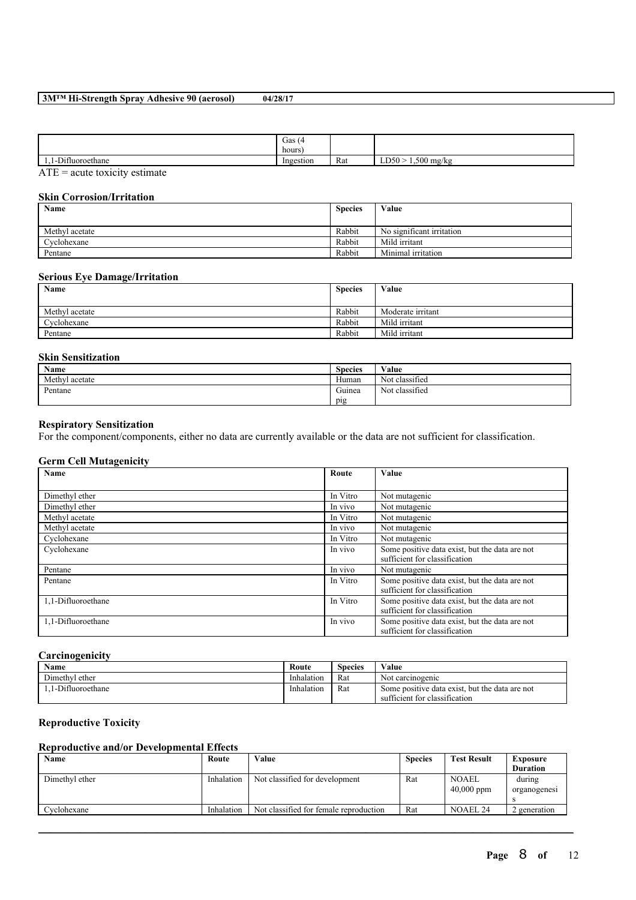|                                                | Gas $(4)$<br>hours |     |                       |
|------------------------------------------------|--------------------|-----|-----------------------|
| $\sim$ $\sim$ $\sim$<br>fluoroethane<br>໋<br>. | Ingestion          | Rat | LD50<br>$1,500$ mg/kg |
| $\overline{a}$<br>$\cdot$ .<br>$\cdot$ .       |                    |     |                       |

ATE = acute toxicity estimate

# **Skin Corrosion/Irritation**

| Name           | <b>Species</b> | Value                     |
|----------------|----------------|---------------------------|
|                |                |                           |
| Methyl acetate | Rabbit         | No significant irritation |
| Cyclohexane    | Rabbit         | Mild irritant             |
| Pentane        | Rabbit         | Minimal irritation        |

# **Serious Eye Damage/Irritation**

| Name           | <b>Species</b> | Value             |
|----------------|----------------|-------------------|
|                |                |                   |
| Methyl acetate | Rabbit         | Moderate irritant |
| Cyclohexane    | Rabbit         | Mild irritant     |
| Pentane        | Rabbit         | Mild irritant     |

# **Skin Sensitization**

| <b>Name</b>    | <b>Species</b> | Value          |  |
|----------------|----------------|----------------|--|
| Methyl acetate | Human          | Not classified |  |
| Pentane        | Guinea         | Not classified |  |
|                | pig            |                |  |

## **Respiratory Sensitization**

For the component/components, either no data are currently available or the data are not sufficient for classification.

## **Germ Cell Mutagenicity**

| Name               | Route    | Value                                                                           |
|--------------------|----------|---------------------------------------------------------------------------------|
|                    |          |                                                                                 |
| Dimethyl ether     | In Vitro | Not mutagenic                                                                   |
| Dimethyl ether     | In vivo  | Not mutagenic                                                                   |
| Methyl acetate     | In Vitro | Not mutagenic                                                                   |
| Methyl acetate     | In vivo  | Not mutagenic                                                                   |
| Cyclohexane        | In Vitro | Not mutagenic                                                                   |
| Cyclohexane        | In vivo  | Some positive data exist, but the data are not<br>sufficient for classification |
| Pentane            | In vivo  | Not mutagenic                                                                   |
| Pentane            | In Vitro | Some positive data exist, but the data are not<br>sufficient for classification |
| 1.1-Difluoroethane | In Vitro | Some positive data exist, but the data are not<br>sufficient for classification |
| 1,1-Difluoroethane | In vivo  | Some positive data exist, but the data are not<br>sufficient for classification |

# **Carcinogenicity**

| Name              | Route      | Species | Value                                          |
|-------------------|------------|---------|------------------------------------------------|
| Dimethyl ether    | Inhalation | Rat     | Not carcinogenic                               |
| .1-Difluoroethane | Inhalation | Rat     | Some positive data exist, but the data are not |
|                   |            |         | sufficient for classification                  |

# **Reproductive Toxicity**

# **Reproductive and/or Developmental Effects**

| Name           | Route      | Value                                  | <b>Species</b> | <b>Test Result</b> | Exposure        |
|----------------|------------|----------------------------------------|----------------|--------------------|-----------------|
|                |            |                                        |                |                    | <b>Duration</b> |
| Dimethyl ether | Inhalation | Not classified for development         | Rat            | <b>NOAEL</b>       | during          |
|                |            |                                        |                | $40,000$ ppm       | organogenesi    |
|                |            |                                        |                |                    |                 |
| Cyclohexane    | Inhalation | Not classified for female reproduction | Rat            | <b>NOAEL 24</b>    | 2 generation    |
|                |            |                                        |                |                    |                 |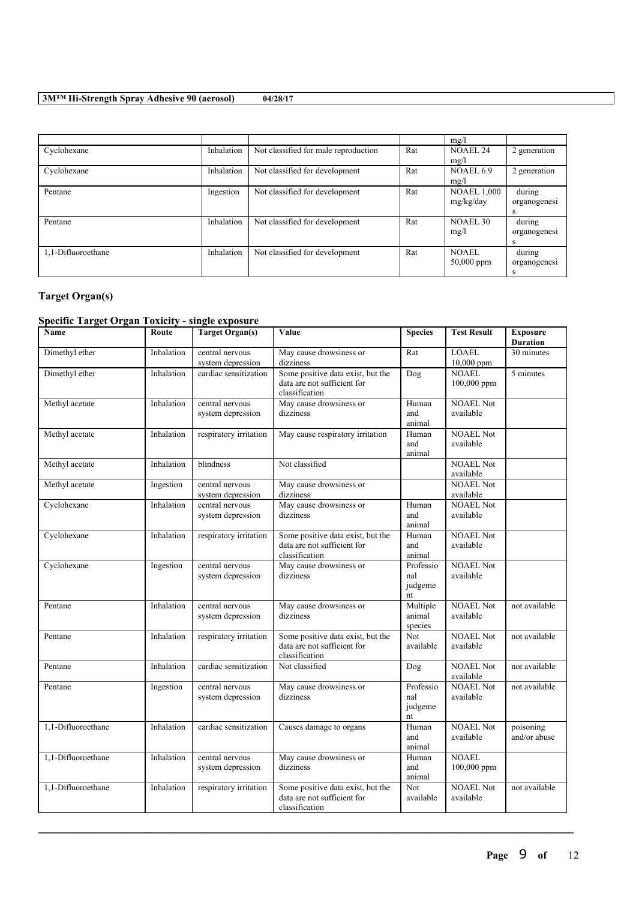|                    |            |                                      |     | mg/l               |              |
|--------------------|------------|--------------------------------------|-----|--------------------|--------------|
| Cyclohexane        | Inhalation | Not classified for male reproduction | Rat | <b>NOAEL 24</b>    | 2 generation |
|                    |            |                                      |     | mg/l               |              |
| Cyclohexane        | Inhalation | Not classified for development       | Rat | NOAEL 6.9          | 2 generation |
|                    |            |                                      |     | mg/l               |              |
| Pentane            | Ingestion  | Not classified for development       | Rat | <b>NOAEL 1,000</b> | during       |
|                    |            |                                      |     | mg/kg/day          | organogenesi |
|                    |            |                                      |     |                    | s            |
| Pentane            | Inhalation | Not classified for development       | Rat | <b>NOAEL 30</b>    | during       |
|                    |            |                                      |     | mg/l               | organogenesi |
|                    |            |                                      |     |                    | s            |
| 1,1-Difluoroethane | Inhalation | Not classified for development       | Rat | <b>NOAEL</b>       | during       |
|                    |            |                                      |     | $50,000$ ppm       | organogenesi |
|                    |            |                                      |     |                    |              |

# **Target Organ(s)**

# **Specific Target Organ Toxicity - single exposure**

| Name               | Route      | <b>Target Organ(s)</b>               | Value                                                                              | <b>Species</b>                    | <b>Test Result</b>            | <b>Exposure</b><br><b>Duration</b> |
|--------------------|------------|--------------------------------------|------------------------------------------------------------------------------------|-----------------------------------|-------------------------------|------------------------------------|
| Dimethyl ether     | Inhalation | central nervous<br>system depression | May cause drowsiness or<br>dizziness                                               | Rat                               | <b>LOAEL</b><br>10,000 ppm    | 30 minutes                         |
| Dimethyl ether     | Inhalation | cardiac sensitization                | Some positive data exist, but the<br>data are not sufficient for<br>classification | Dog                               | <b>NOAEL</b><br>100,000 ppm   | 5 minutes                          |
| Methyl acetate     | Inhalation | central nervous<br>system depression | May cause drowsiness or<br>dizziness                                               | Human<br>and<br>animal            | <b>NOAEL</b> Not<br>available |                                    |
| Methyl acetate     | Inhalation | respiratory irritation               | May cause respiratory irritation                                                   | Human<br>and<br>animal            | <b>NOAEL Not</b><br>available |                                    |
| Methyl acetate     | Inhalation | blindness                            | Not classified                                                                     |                                   | <b>NOAEL Not</b><br>available |                                    |
| Methyl acetate     | Ingestion  | central nervous<br>system depression | May cause drowsiness or<br>dizziness                                               |                                   | <b>NOAEL Not</b><br>available |                                    |
| Cyclohexane        | Inhalation | central nervous<br>system depression | May cause drowsiness or<br>dizziness                                               | Human<br>and<br>animal            | <b>NOAEL Not</b><br>available |                                    |
| Cyclohexane        | Inhalation | respiratory irritation               | Some positive data exist, but the<br>data are not sufficient for<br>classification | Human<br>and<br>animal            | <b>NOAEL Not</b><br>available |                                    |
| Cyclohexane        | Ingestion  | central nervous<br>system depression | May cause drowsiness or<br>dizziness                                               | Professio<br>nal<br>judgeme<br>nt | <b>NOAEL Not</b><br>available |                                    |
| Pentane            | Inhalation | central nervous<br>system depression | May cause drowsiness or<br>dizziness                                               | Multiple<br>animal<br>species     | <b>NOAEL Not</b><br>available | not available                      |
| Pentane            | Inhalation | respiratory irritation               | Some positive data exist, but the<br>data are not sufficient for<br>classification | <b>Not</b><br>available           | <b>NOAEL Not</b><br>available | not available                      |
| Pentane            | Inhalation | cardiac sensitization                | Not classified                                                                     | Dog                               | <b>NOAEL Not</b><br>available | not available                      |
| Pentane            | Ingestion  | central nervous<br>system depression | May cause drowsiness or<br>dizziness                                               | Professio<br>nal<br>judgeme<br>nt | <b>NOAEL Not</b><br>available | not available                      |
| 1,1-Difluoroethane | Inhalation | cardiac sensitization                | Causes damage to organs                                                            | Human<br>and<br>animal            | <b>NOAEL Not</b><br>available | poisoning<br>and/or abuse          |
| 1,1-Difluoroethane | Inhalation | central nervous<br>system depression | May cause drowsiness or<br>dizziness                                               | Human<br>and<br>animal            | <b>NOAEL</b><br>100,000 ppm   |                                    |
| 1,1-Difluoroethane | Inhalation | respiratory irritation               | Some positive data exist, but the<br>data are not sufficient for<br>classification | Not<br>available                  | <b>NOAEL Not</b><br>available | not available                      |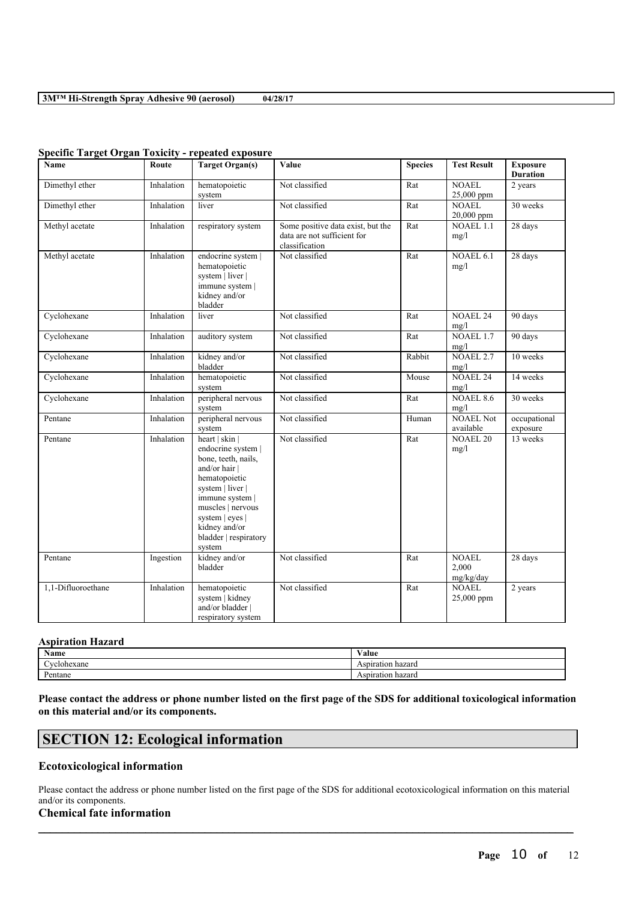| <b>Name</b>        | Route      | <b>Target Organ(s)</b>                                                                                                                                                                                                           | Value                                                                              | <b>Species</b> | <b>Test Result</b>                 | <b>Exposure</b><br><b>Duration</b> |
|--------------------|------------|----------------------------------------------------------------------------------------------------------------------------------------------------------------------------------------------------------------------------------|------------------------------------------------------------------------------------|----------------|------------------------------------|------------------------------------|
| Dimethyl ether     | Inhalation | hematopoietic<br>system                                                                                                                                                                                                          | Not classified                                                                     | Rat            | <b>NOAEL</b><br>25,000 ppm         | 2 years                            |
| Dimethyl ether     | Inhalation | liver                                                                                                                                                                                                                            | Not classified                                                                     | Rat            | <b>NOAEL</b><br>20,000 ppm         | 30 weeks                           |
| Methyl acetate     | Inhalation | respiratory system                                                                                                                                                                                                               | Some positive data exist, but the<br>data are not sufficient for<br>classification | Rat            | <b>NOAEL 1.1</b><br>mg/l           | 28 days                            |
| Methyl acetate     | Inhalation | endocrine system  <br>hematopoietic<br>system   liver  <br>immune system  <br>kidney and/or<br>bladder                                                                                                                           | Not classified                                                                     | Rat            | NOAEL 6.1<br>mg/l                  | 28 days                            |
| Cyclohexane        | Inhalation | liver                                                                                                                                                                                                                            | Not classified                                                                     | Rat            | <b>NOAEL 24</b><br>mg/l            | 90 days                            |
| Cyclohexane        | Inhalation | auditory system                                                                                                                                                                                                                  | Not classified                                                                     | Rat            | NOAEL 1.7<br>mg/l                  | 90 days                            |
| Cyclohexane        | Inhalation | kidney and/or<br>bladder                                                                                                                                                                                                         | Not classified                                                                     | Rabbit         | NOAEL <sub>2.7</sub><br>mg/l       | 10 weeks                           |
| Cyclohexane        | Inhalation | hematopoietic<br>system                                                                                                                                                                                                          | Not classified                                                                     | Mouse          | <b>NOAEL 24</b><br>mg/l            | 14 weeks                           |
| Cyclohexane        | Inhalation | peripheral nervous<br>system                                                                                                                                                                                                     | Not classified                                                                     | Rat            | NOAEL 8.6<br>mg/l                  | 30 weeks                           |
| Pentane            | Inhalation | peripheral nervous<br>system                                                                                                                                                                                                     | Not classified                                                                     | Human          | <b>NOAEL Not</b><br>available      | occupational<br>exposure           |
| Pentane            | Inhalation | heart   skin  <br>endocrine system  <br>bone, teeth, nails,<br>and/or hair  <br>hematopoietic<br>system   liver  <br>immune system  <br>muscles   nervous<br>system   eyes  <br>kidney and/or<br>bladder   respiratory<br>system | Not classified                                                                     | Rat            | <b>NOAEL 20</b><br>mg/l            | 13 weeks                           |
| Pentane            | Ingestion  | kidney and/or<br>bladder                                                                                                                                                                                                         | Not classified                                                                     | Rat            | <b>NOAEL</b><br>2,000<br>mg/kg/day | 28 days                            |
| 1,1-Difluoroethane | Inhalation | hematopoietic<br>system   kidney<br>and/or bladder  <br>respiratory system                                                                                                                                                       | Not classified                                                                     | Rat            | <b>NOAEL</b><br>25,000 ppm         | 2 years                            |

### **Specific Target Organ Toxicity - repeated exposure**

## **Aspiration Hazard**

| <b>Name</b>             | ⁄ alue               |
|-------------------------|----------------------|
| vclohexane              | Aspiration<br>hazard |
| $\mathbf{r}$<br>Pentane | Aspiration hazard    |

Please contact the address or phone number listed on the first page of the SDS for additional toxicological information **on this material and/or its components.**

# **SECTION 12: Ecological information**

## **Ecotoxicological information**

Please contact the address or phone number listed on the first page of the SDS for additional ecotoxicological information on this material and/or its components.

 $\mathcal{L}_\mathcal{L} = \mathcal{L}_\mathcal{L} = \mathcal{L}_\mathcal{L} = \mathcal{L}_\mathcal{L} = \mathcal{L}_\mathcal{L} = \mathcal{L}_\mathcal{L} = \mathcal{L}_\mathcal{L} = \mathcal{L}_\mathcal{L} = \mathcal{L}_\mathcal{L} = \mathcal{L}_\mathcal{L} = \mathcal{L}_\mathcal{L} = \mathcal{L}_\mathcal{L} = \mathcal{L}_\mathcal{L} = \mathcal{L}_\mathcal{L} = \mathcal{L}_\mathcal{L} = \mathcal{L}_\mathcal{L} = \mathcal{L}_\mathcal{L}$ 

# **Chemical fate information**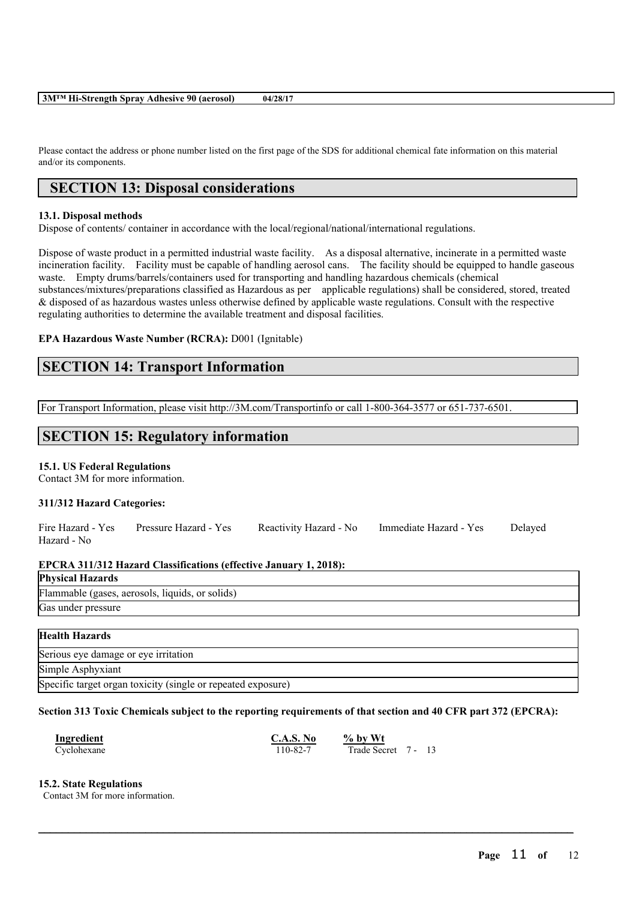Please contact the address or phone number listed on the first page of the SDS for additional chemical fate information on this material and/or its components.

# **SECTION 13: Disposal considerations**

# **13.1. Disposal methods**

Dispose of contents/ container in accordance with the local/regional/national/international regulations.

Dispose of waste product in a permitted industrial waste facility. As a disposal alternative, incinerate in a permitted waste incineration facility. Facility must be capable of handling aerosol cans. The facility should be equipped to handle gaseous waste. Empty drums/barrels/containers used for transporting and handling hazardous chemicals (chemical substances/mixtures/preparations classified as Hazardous as per applicable regulations) shall be considered, stored, treated & disposed of as hazardous wastes unless otherwise defined by applicable waste regulations. Consult with the respective regulating authorities to determine the available treatment and disposal facilities.

# **EPA Hazardous Waste Number (RCRA):** D001 (Ignitable)

# **SECTION 14: Transport Information**

For Transport Information, please visit http://3M.com/Transportinfo or call 1-800-364-3577 or 651-737-6501.

# **SECTION 15: Regulatory information**

# **15.1. US Federal Regulations**

Contact 3M for more information.

## **311/312 Hazard Categories:**

|             | Fire Hazard - Yes Pressure Hazard - Yes | Reactivity Hazard - No Immediate Hazard - Yes | Delayed |
|-------------|-----------------------------------------|-----------------------------------------------|---------|
| Hazard - No |                                         |                                               |         |

## **EPCRA 311/312 Hazard Classifications (effective January 1, 2018):**

| <b>Physical Hazards</b>                         |
|-------------------------------------------------|
| Flammable (gases, aerosols, liquids, or solids) |
| Gas under pressure                              |

| <b>Health Hazards</b>                                        |
|--------------------------------------------------------------|
| Serious eye damage or eye irritation                         |
| Simple Asphyxiant                                            |
| Specific target organ toxicity (single or repeated exposure) |

## Section 313 Toxic Chemicals subject to the reporting requirements of that section and 40 CFR part 372 (EPCRA):

 $\mathcal{L}_\mathcal{L} = \mathcal{L}_\mathcal{L} = \mathcal{L}_\mathcal{L} = \mathcal{L}_\mathcal{L} = \mathcal{L}_\mathcal{L} = \mathcal{L}_\mathcal{L} = \mathcal{L}_\mathcal{L} = \mathcal{L}_\mathcal{L} = \mathcal{L}_\mathcal{L} = \mathcal{L}_\mathcal{L} = \mathcal{L}_\mathcal{L} = \mathcal{L}_\mathcal{L} = \mathcal{L}_\mathcal{L} = \mathcal{L}_\mathcal{L} = \mathcal{L}_\mathcal{L} = \mathcal{L}_\mathcal{L} = \mathcal{L}_\mathcal{L}$ 

| Ingredient  | C.A.S. No | % by $Wt$           |  |
|-------------|-----------|---------------------|--|
| Cyclohexane | 110-82-7  | Trade Secret 7 - 13 |  |

## **15.2. State Regulations**

Contact 3M for more information.